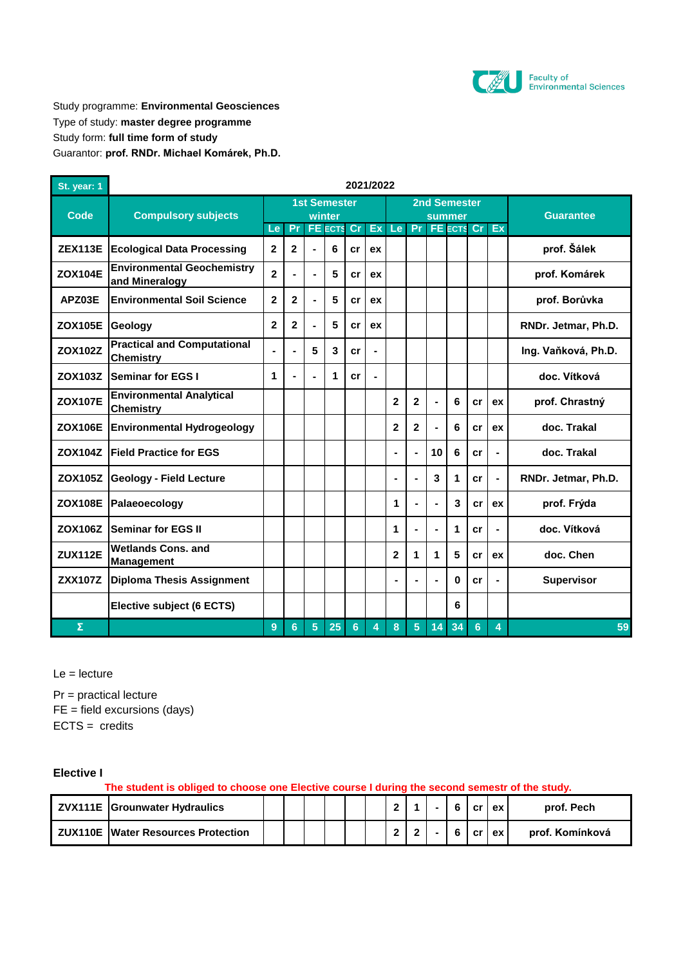

Study programme: **Environmental Geosciences** Type of study: **master degree programme** Study form: **full time form of study** Guarantor: **prof. RNDr. Michael Komárek, Ph.D.**

| St. year: 1    | 2021/2022                                              |                |                |                     |        |                   |                |                |                |                            |    |                |                |                     |
|----------------|--------------------------------------------------------|----------------|----------------|---------------------|--------|-------------------|----------------|----------------|----------------|----------------------------|----|----------------|----------------|---------------------|
|                | <b>Compulsory subjects</b>                             |                |                | <b>1st Semester</b> |        |                   |                |                |                | <b>2nd Semester</b>        |    |                |                |                     |
| Code           |                                                        | Le:            | Pr             |                     | winter | <b>FE ECTS Cr</b> | Ex             |                |                | summer<br>Le Pr FE ECTS Cr |    |                | Ex             | <b>Guarantee</b>    |
| <b>ZEX113E</b> | <b>Ecological Data Processing</b>                      | $\mathbf{2}$   | $\overline{2}$ |                     | 6      | cr                | ex             |                |                |                            |    |                |                | prof. Šálek         |
| <b>ZOX104E</b> | <b>Environmental Geochemistry</b><br>and Mineralogy    | $\overline{2}$ | ä,             | $\blacksquare$      | 5      | cr                | ex             |                |                |                            |    |                |                | prof. Komárek       |
| APZ03E         | <b>Environmental Soil Science</b>                      | $\mathbf{2}$   | $\overline{2}$ | $\blacksquare$      | 5      | cr                | ex             |                |                |                            |    |                |                | prof. Borůvka       |
| <b>ZOX105E</b> | <b>Geology</b>                                         | $\mathbf{2}$   | $\mathbf{2}$   | ٠                   | 5      | cr                | ex             |                |                |                            |    |                |                | RNDr. Jetmar, Ph.D. |
| <b>ZOX102Z</b> | <b>Practical and Computational</b><br><b>Chemistry</b> |                | $\blacksquare$ | 5                   | 3      | cr                | ٠              |                |                |                            |    |                |                | Ing. Vaňková, Ph.D. |
| ZOX103Z        | <b>Seminar for EGS I</b>                               | 1              | $\blacksquare$ | ٠                   | 1      | cr                | $\blacksquare$ |                |                |                            |    |                |                | doc. Vítková        |
| <b>ZOX107E</b> | <b>Environmental Analytical</b><br><b>Chemistry</b>    |                |                |                     |        |                   |                | $\mathbf{2}$   | $\mathbf{2}$   |                            | 6  | cr             | ex             | prof. Chrastný      |
| <b>ZOX106E</b> | <b>Environmental Hydrogeology</b>                      |                |                |                     |        |                   |                | $\mathbf{2}$   | $\mathbf{2}$   |                            | 6  | cr             | ex             | doc. Trakal         |
| ZOX104Z        | <b>Field Practice for EGS</b>                          |                |                |                     |        |                   |                | $\blacksquare$ | ä,             | 10                         | 6  | cr             | $\blacksquare$ | doc. Trakal         |
| <b>ZOX105Z</b> | <b>Geology - Field Lecture</b>                         |                |                |                     |        |                   |                | $\blacksquare$ | $\blacksquare$ | 3                          | 1  | cr             | $\blacksquare$ | RNDr. Jetmar, Ph.D. |
| <b>ZOX108E</b> | Palaeoecology                                          |                |                |                     |        |                   |                | 1              |                |                            | 3  | cr             | ex             | prof. Frýda         |
| ZOX106Z        | <b>Seminar for EGS II</b>                              |                |                |                     |        |                   |                | 1              | $\blacksquare$ |                            | 1  | cr             | ÷              | doc. Vítková        |
| <b>ZUX112E</b> | <b>Wetlands Cons, and</b><br><b>Management</b>         |                |                |                     |        |                   |                | $\mathbf{2}$   | 1              | 1                          | 5  | cr             | ex             | doc. Chen           |
| <b>ZXX107Z</b> | <b>Diploma Thesis Assignment</b>                       |                |                |                     |        |                   |                | ÷              |                |                            | 0  | cr             | ٠              | <b>Supervisor</b>   |
|                | Elective subject (6 ECTS)                              |                |                |                     |        |                   |                |                |                |                            | 6  |                |                |                     |
| Σ              |                                                        | 9              | 6              | 5 <sup>5</sup>      | 25     | $6\phantom{a}$    | 4              | 8              | $5\phantom{.}$ | 14                         | 34 | 6 <sup>5</sup> | 4              | 59                  |

 $Le =$  lecture

Pr = practical lecture ECTS = credits  $FE = field$  excursions (days)

**Elective I**

**The student is obliged to choose one Elective course I during the second semestr of the study.** 

| <b>ZVX111E</b> Grounwater Hydraulics      |  |  |  |  | 6  | cr | ex     | prof. Pech      |
|-------------------------------------------|--|--|--|--|----|----|--------|-----------------|
| <b>ZUX110E Water Resources Protection</b> |  |  |  |  | -6 |    | criexi | prof. Komínková |